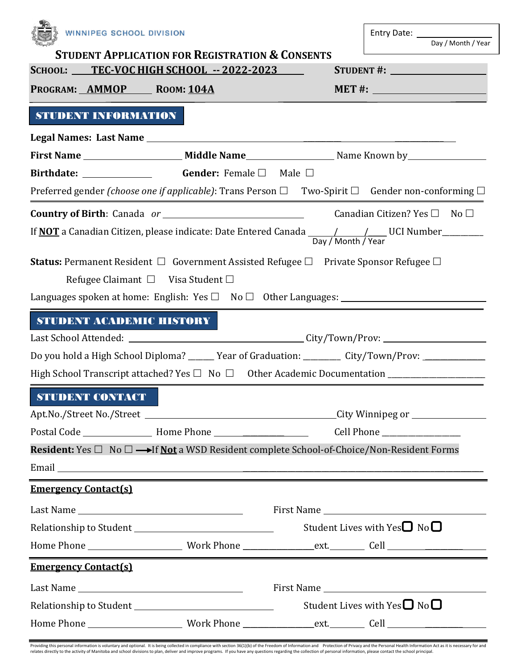| WINNIPEG SCHOOL DIVISION                                                                                                                    |                                                            |                                                                                                                                                                                                                                      |  |  |
|---------------------------------------------------------------------------------------------------------------------------------------------|------------------------------------------------------------|--------------------------------------------------------------------------------------------------------------------------------------------------------------------------------------------------------------------------------------|--|--|
|                                                                                                                                             | <b>STUDENT APPLICATION FOR REGISTRATION &amp; CONSENTS</b> | Day / Month / Year                                                                                                                                                                                                                   |  |  |
| SCHOOL: TEC-VOC HIGH SCHOOL -- 2022-2023                                                                                                    |                                                            | STUDENT#:                                                                                                                                                                                                                            |  |  |
| PROGRAM: AMMOP ROOM: 104A                                                                                                                   |                                                            | $MET #: __________$                                                                                                                                                                                                                  |  |  |
| STUDENT INFORMATION                                                                                                                         |                                                            |                                                                                                                                                                                                                                      |  |  |
|                                                                                                                                             |                                                            |                                                                                                                                                                                                                                      |  |  |
|                                                                                                                                             |                                                            |                                                                                                                                                                                                                                      |  |  |
| Birthdate: <u>_________________</u> Gender: Female □ Male □                                                                                 |                                                            |                                                                                                                                                                                                                                      |  |  |
|                                                                                                                                             |                                                            | Preferred gender (choose one if applicable): Trans Person $\Box$ Two-Spirit $\Box$ Gender non-conforming $\Box$                                                                                                                      |  |  |
|                                                                                                                                             |                                                            | <b>Country of Birth</b> : Canada or $\qquad \qquad$ Canadian Citizen? Yes $\Box$ No $\Box$                                                                                                                                           |  |  |
| If <b>NOT</b> a Canadian Citizen, please indicate: Date Entered Canada $\frac{1}{\frac{Day}{Month} \cdot \frac{1}{\text{Year}}}$ UCI Number |                                                            |                                                                                                                                                                                                                                      |  |  |
|                                                                                                                                             | Refugee Claimant $\square$ Visa Student $\square$          | <b>Status:</b> Permanent Resident $\Box$ Government Assisted Refugee $\Box$ Private Sponsor Refugee $\Box$                                                                                                                           |  |  |
|                                                                                                                                             |                                                            |                                                                                                                                                                                                                                      |  |  |
| STUDENT ACADEMIC HISTORY                                                                                                                    |                                                            |                                                                                                                                                                                                                                      |  |  |
|                                                                                                                                             |                                                            | Do you hold a High School Diploma? _____ Year of Graduation: ________ City/Town/Prov: ____________                                                                                                                                   |  |  |
|                                                                                                                                             |                                                            |                                                                                                                                                                                                                                      |  |  |
| <b>STUDENT CONTACT</b>                                                                                                                      |                                                            |                                                                                                                                                                                                                                      |  |  |
|                                                                                                                                             |                                                            |                                                                                                                                                                                                                                      |  |  |
|                                                                                                                                             |                                                            |                                                                                                                                                                                                                                      |  |  |
| <b>Resident:</b> Yes $\Box$ No $\Box \longrightarrow$ If <u>Not</u> a WSD Resident complete School-of-Choice/Non-Resident Forms             |                                                            |                                                                                                                                                                                                                                      |  |  |
|                                                                                                                                             |                                                            | Email <u>the contract of the contract of the contract of the contract of the contract of the contract of the contract of the contract of the contract of the contract of the contract of the contract of the contract of the con</u> |  |  |
| <b>Emergency Contact(s)</b>                                                                                                                 |                                                            | ,我们也不会有什么。""我们的人,我们也不会有什么?""我们的人,我们也不会有什么?""我们的人,我们也不会有什么?""我们的人,我们也不会有什么?""我们的人                                                                                                                                                     |  |  |
|                                                                                                                                             |                                                            |                                                                                                                                                                                                                                      |  |  |
|                                                                                                                                             |                                                            |                                                                                                                                                                                                                                      |  |  |
|                                                                                                                                             |                                                            |                                                                                                                                                                                                                                      |  |  |
| <b>Emergency Contact(s)</b>                                                                                                                 |                                                            |                                                                                                                                                                                                                                      |  |  |
|                                                                                                                                             |                                                            |                                                                                                                                                                                                                                      |  |  |
|                                                                                                                                             |                                                            | Student Lives with Yes $\square$ No $\square$                                                                                                                                                                                        |  |  |
|                                                                                                                                             |                                                            |                                                                                                                                                                                                                                      |  |  |

Providing this personal information is voluntary and optional. It is being collected in compliance with section 36(1)(b) of the Freedom of Information and Protection of Privacy and the Personal Health Information Act as it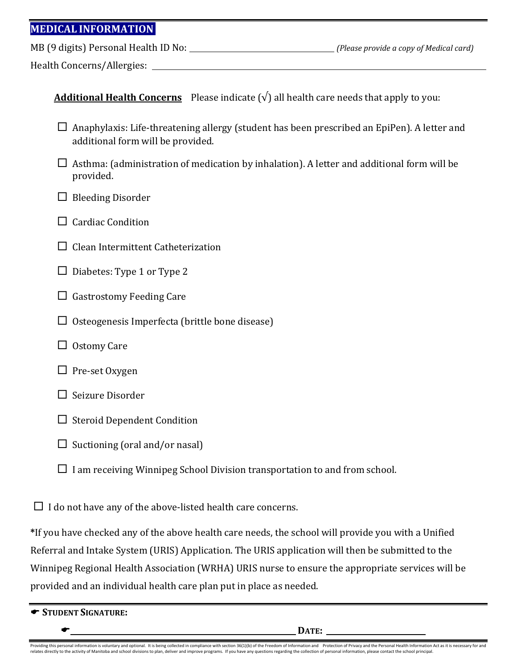## **MEDICAL INFORMATION**

MB (9 digits) Personal Health ID No: *(Please provide a copy of Medical card)*

Health Concerns/Allergies:

|  | <b>Additional Health Concerns</b> Please indicate $(\sqrt{})$ all health care needs that apply to you: |
|--|--------------------------------------------------------------------------------------------------------|
|--|--------------------------------------------------------------------------------------------------------|

- $\Box$  Anaphylaxis: Life-threatening allergy (student has been prescribed an EpiPen). A letter and additional form will be provided.
- $\Box$  Asthma: (administration of medication by inhalation). A letter and additional form will be provided.
- $\Box$  Bleeding Disorder
- $\Box$  Cardiac Condition
- $\Box$  Clean Intermittent Catheterization
- $\Box$  Diabetes: Type 1 or Type 2
- $\Box$  Gastrostomy Feeding Care
- $\Box$  Osteogenesis Imperfecta (brittle bone disease)
- $\Box$  Ostomy Care
- $\Box$  Pre-set Oxygen
- $\Box$  Seizure Disorder
- $\Box$  Steroid Dependent Condition
- $\square$  Suctioning (oral and/or nasal)
- $\Box$  I am receiving Winnipeg School Division transportation to and from school.

 $\Box$  I do not have any of the above-listed health care concerns.

**\***If you have checked any of the above health care needs, the school will provide you with a Unified Referral and Intake System (URIS) Application. The URIS application will then be submitted to the Winnipeg Regional Health Association (WRHA) URIS nurse to ensure the appropriate services will be provided and an individual health care plan put in place as needed.

|  | STUDENT SIGNATURE: |
|--|--------------------|
|  |                    |

Providing this personal information is voluntary and optional. It is being collected in compliance with section 36(1)(b) of the Freedom of Information and Protection of Privacy and the Personal Health Information Act as it relates directly to the activity of Manitoba and school divisions to plan, deliver and improve programs. If you have any questions regarding the collection of personal information, please contact the school principal.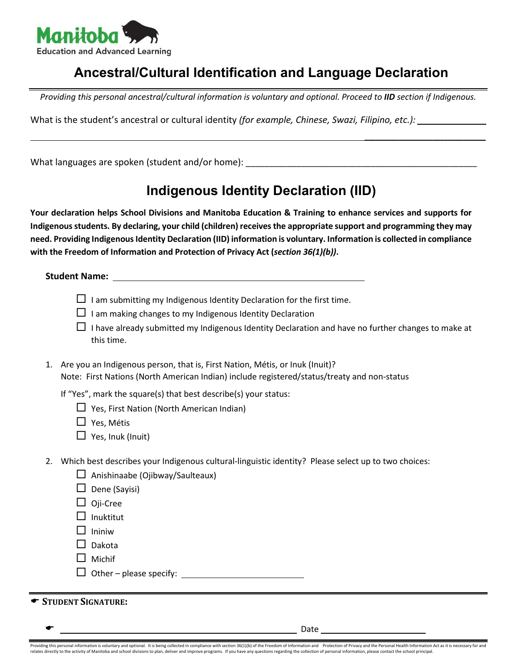

## **Ancestral/Cultural Identification and Language Declaration**

*Providing this personal ancestral/cultural information is voluntary and optional. Proceed to IID section if Indigenous.*

What is the student's ancestral or cultural identity *(for example, Chinese, Swazi, Filipino, etc.):*

What languages are spoken (student and/or home): \_\_\_\_\_\_\_\_\_\_\_\_\_\_\_\_\_\_\_\_\_\_\_\_\_\_\_\_\_\_\_

## **Indigenous Identity Declaration (IID)**

 $\mathcal{L}_\text{max}$  and  $\mathcal{L}_\text{max}$  and  $\mathcal{L}_\text{max}$  and  $\mathcal{L}_\text{max}$ 

**Your declaration helps School Divisions and Manitoba Education & Training to enhance services and supports for Indigenous students. By declaring, your child (children) receives the appropriate support and programming they may need. Providing Indigenous Identity Declaration (IID) information is voluntary. Information is collected in compliance with the Freedom of Information and Protection of Privacy Act (***section 36(1)(b))***.**

**Student Name:** 

- $\Box$  I am submitting my Indigenous Identity Declaration for the first time.
- $\Box$  I am making changes to my Indigenous Identity Declaration
- $\Box$  I have already submitted my Indigenous Identity Declaration and have no further changes to make at this time.
- 1. Are you an Indigenous person, that is, First Nation, Métis, or Inuk (Inuit)? Note: First Nations (North American Indian) include registered/status/treaty and non-status

If "Yes", mark the square(s) that best describe(s) your status:

 $\Box$  Yes, First Nation (North American Indian)

□ Yes, Métis

- $\Box$  Yes, Inuk (Inuit)
- 2. Which best describes your Indigenous cultural-linguistic identity? Please select up to two choices:
	- $\Box$  Anishinaabe (Ojibway/Saulteaux)

 $\Box$  Dene (Savisi)

- $\Box$  Oji-Cree
- $\Box$  Inuktitut
- $\Box$  Ininiw
- $\Box$  Dakota
- $\Box$  Michif
- $\Box$  Other please specify:

**STUDENT SIGNATURE:**

\_\_\_\_\_ Date

Providing this personal information is voluntary and optional. It is being collected in compliance with section 36(1)(b) of the Freedom of Information and Protection of Privacy and the Personal Health Information Act as it relates directly to the activity of Manitoba and school divisions to plan, deliver and improve programs. If you have any questions regarding the collection of personal information, please contact the school principal.